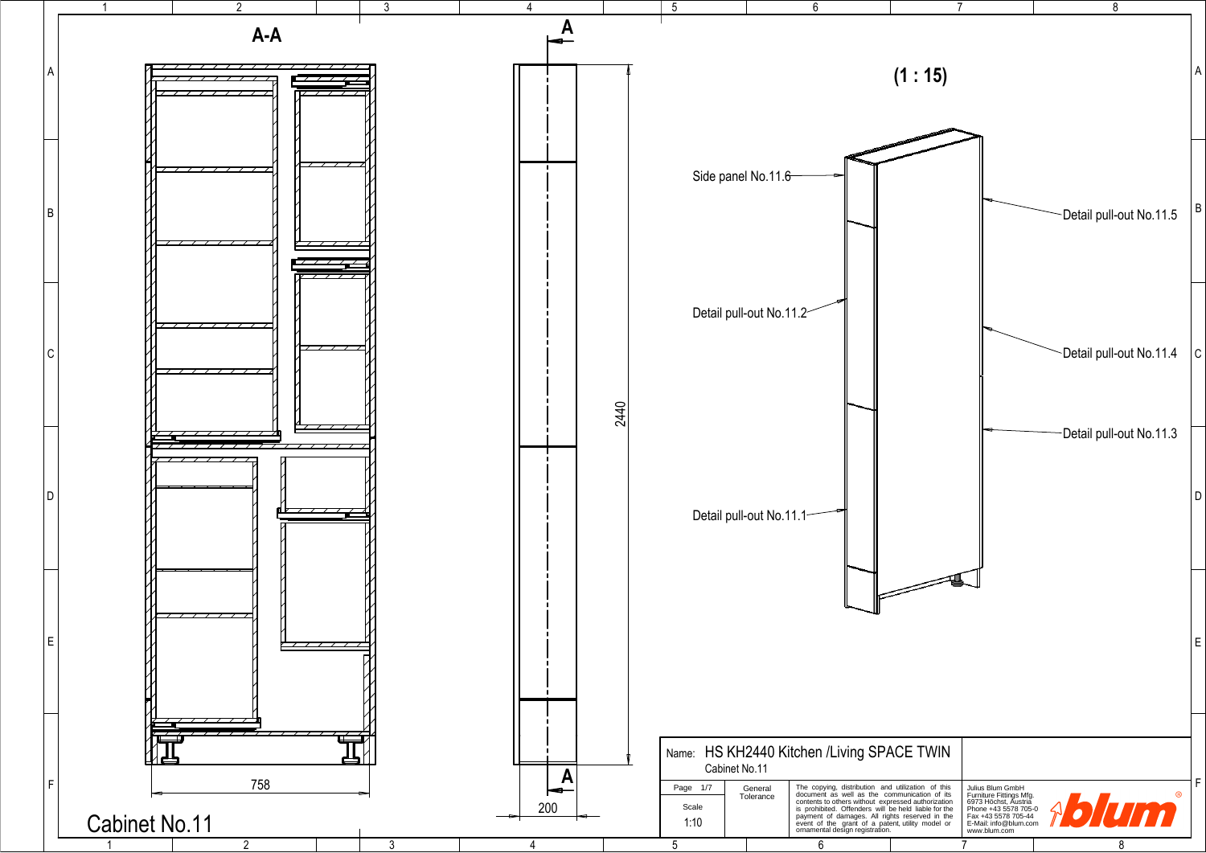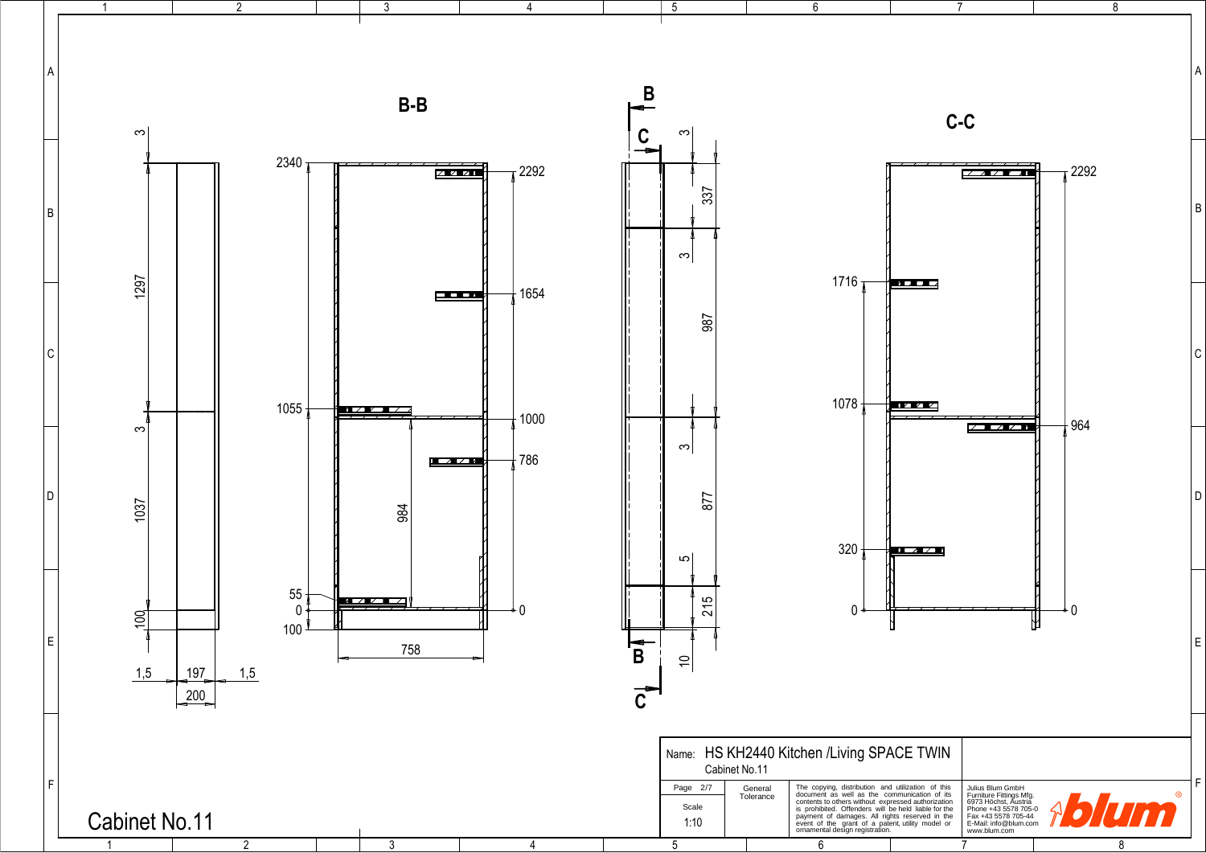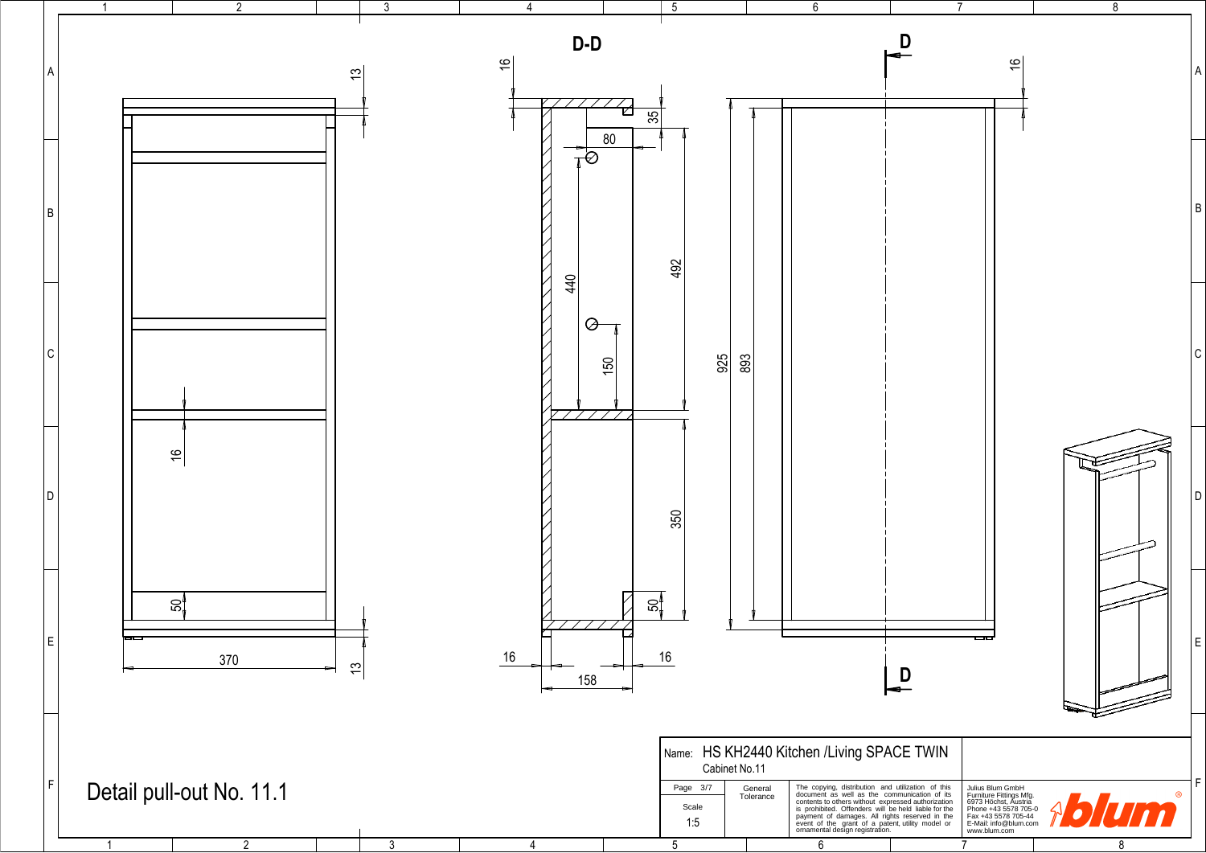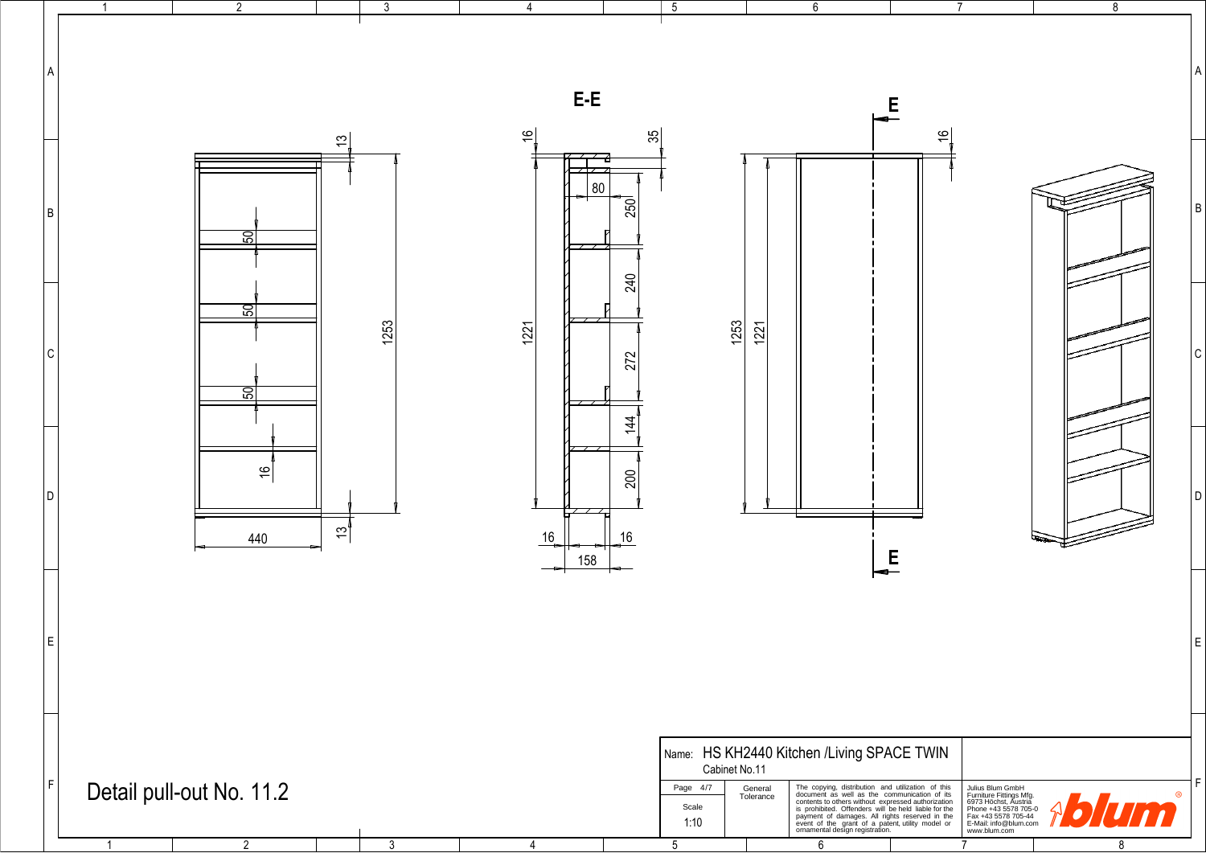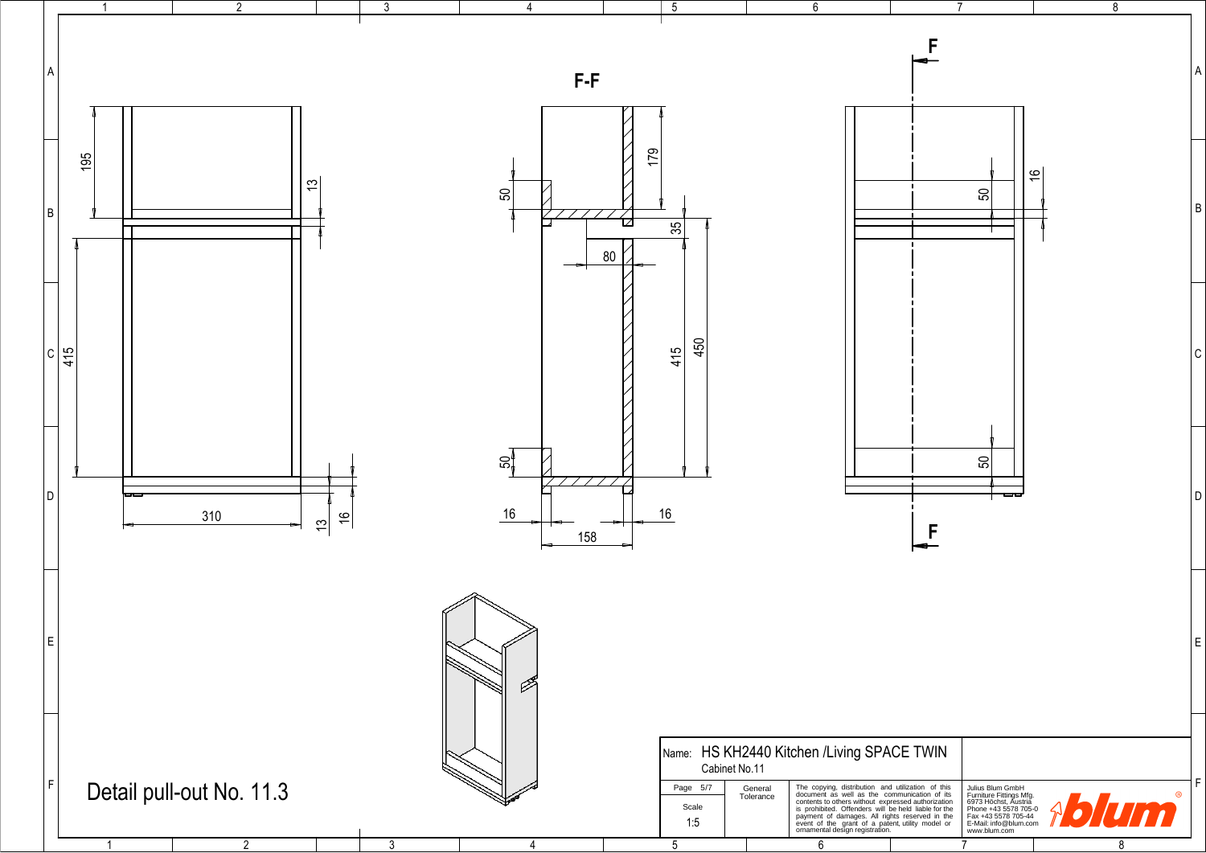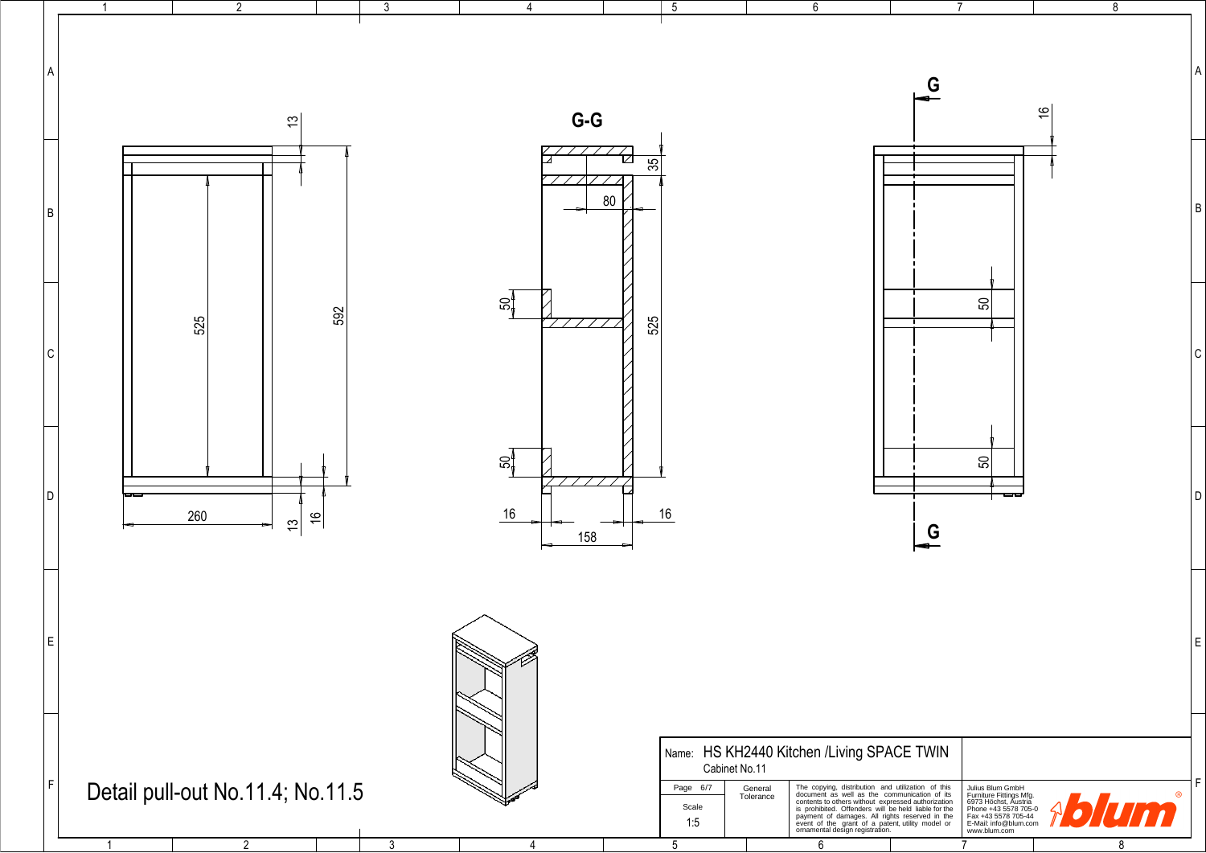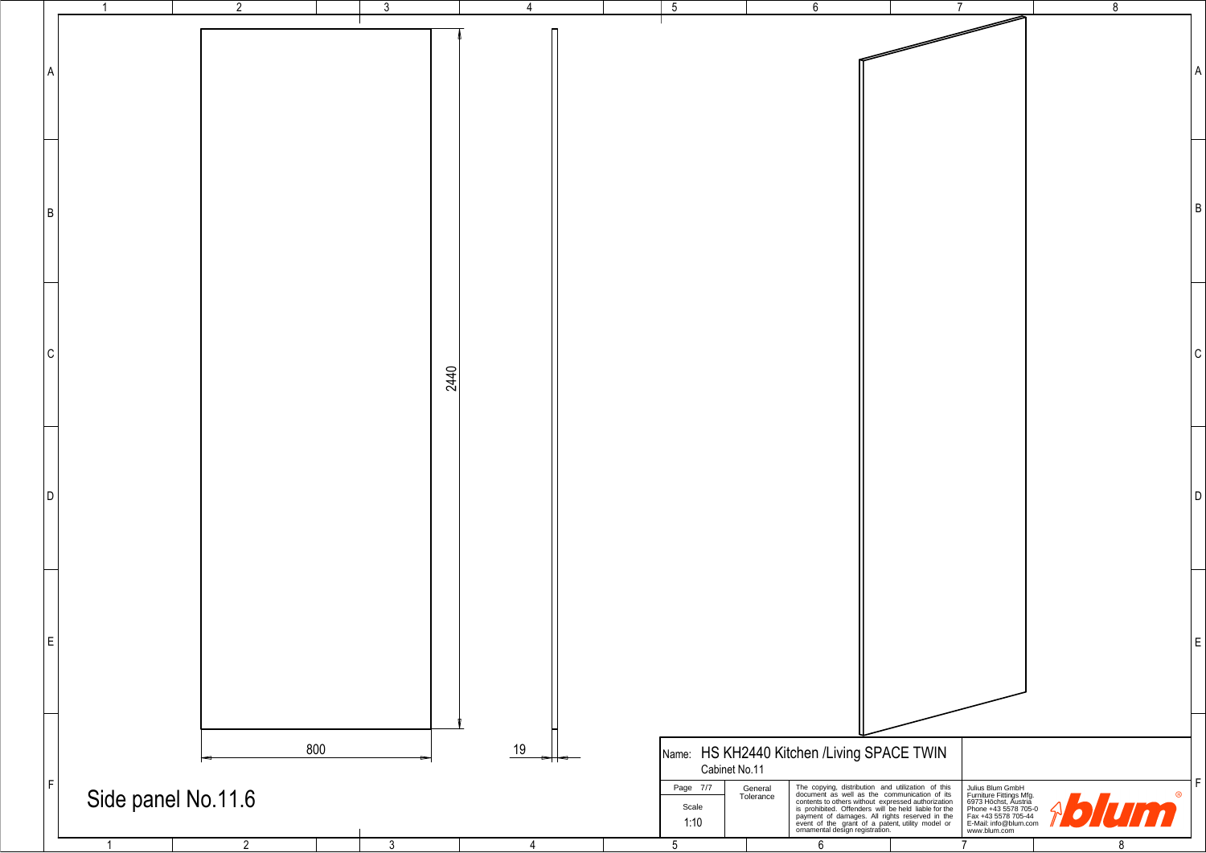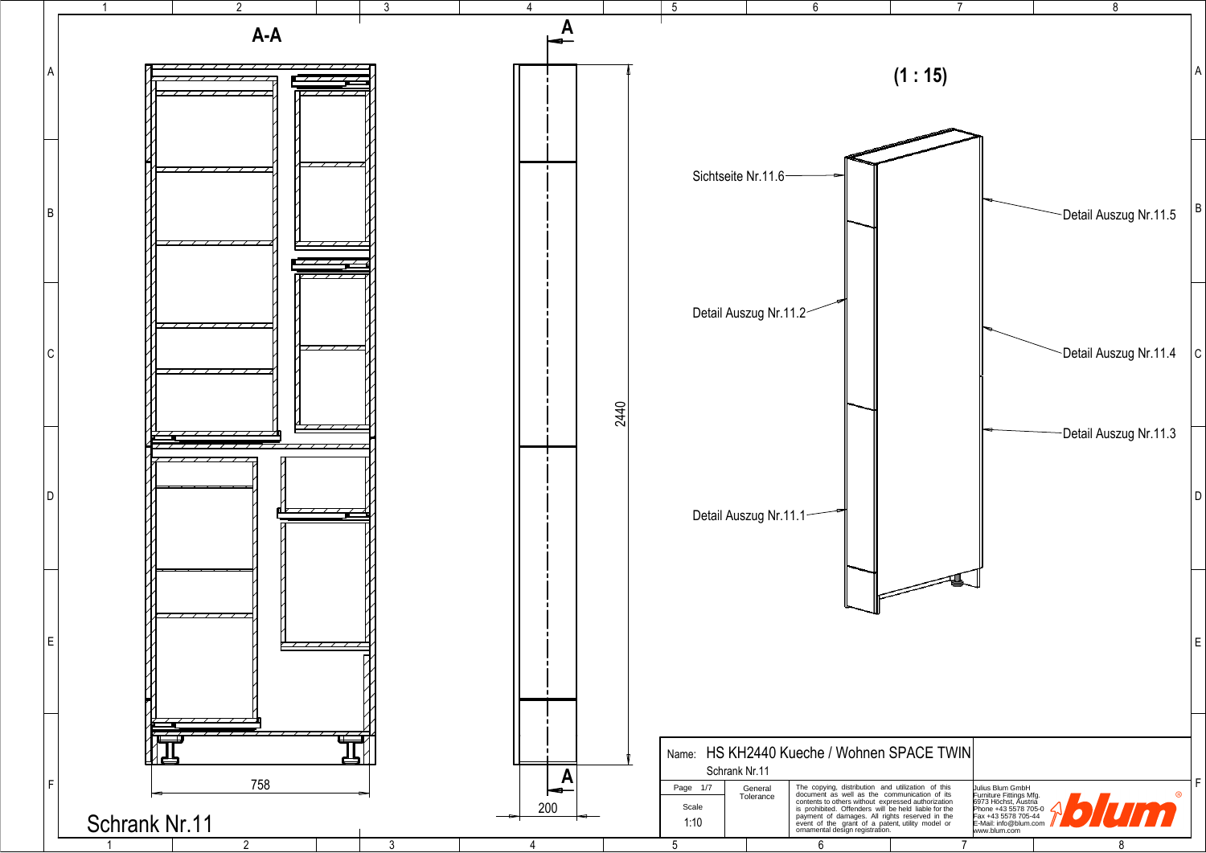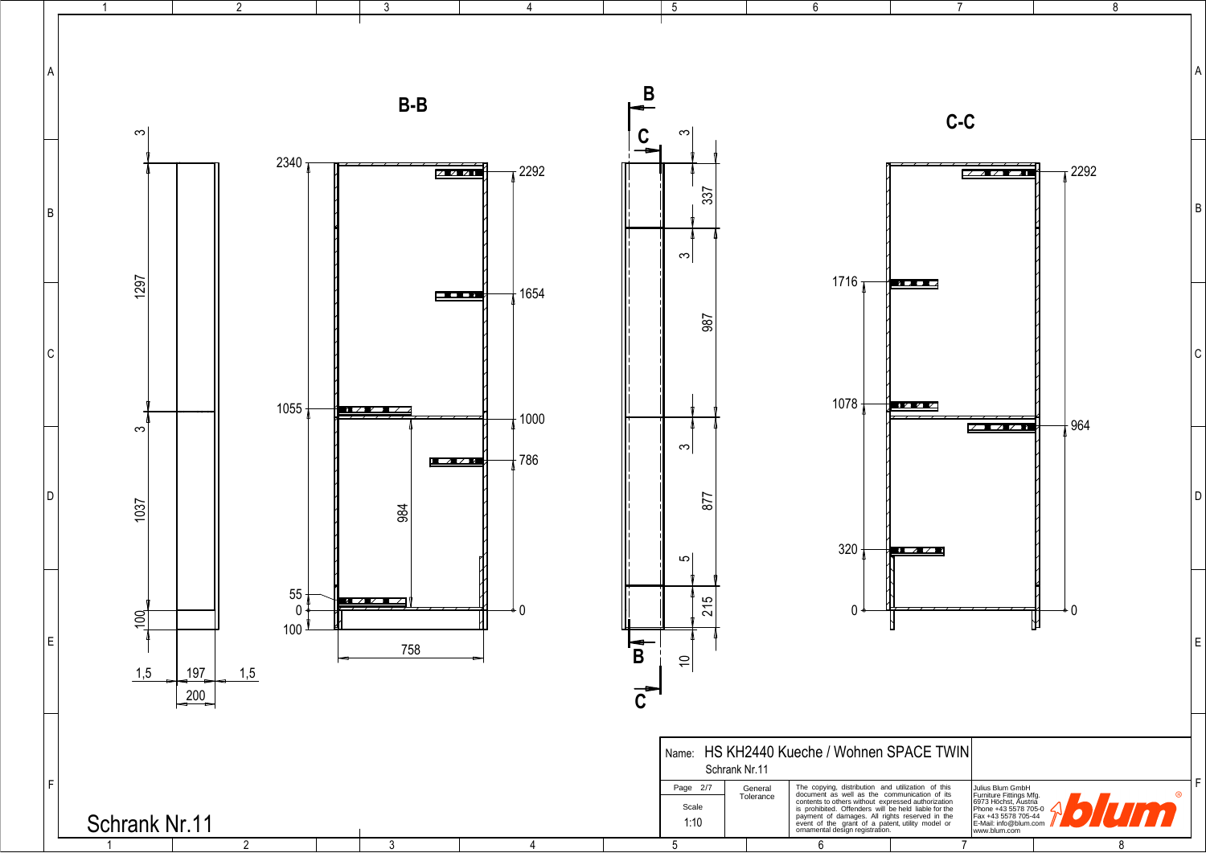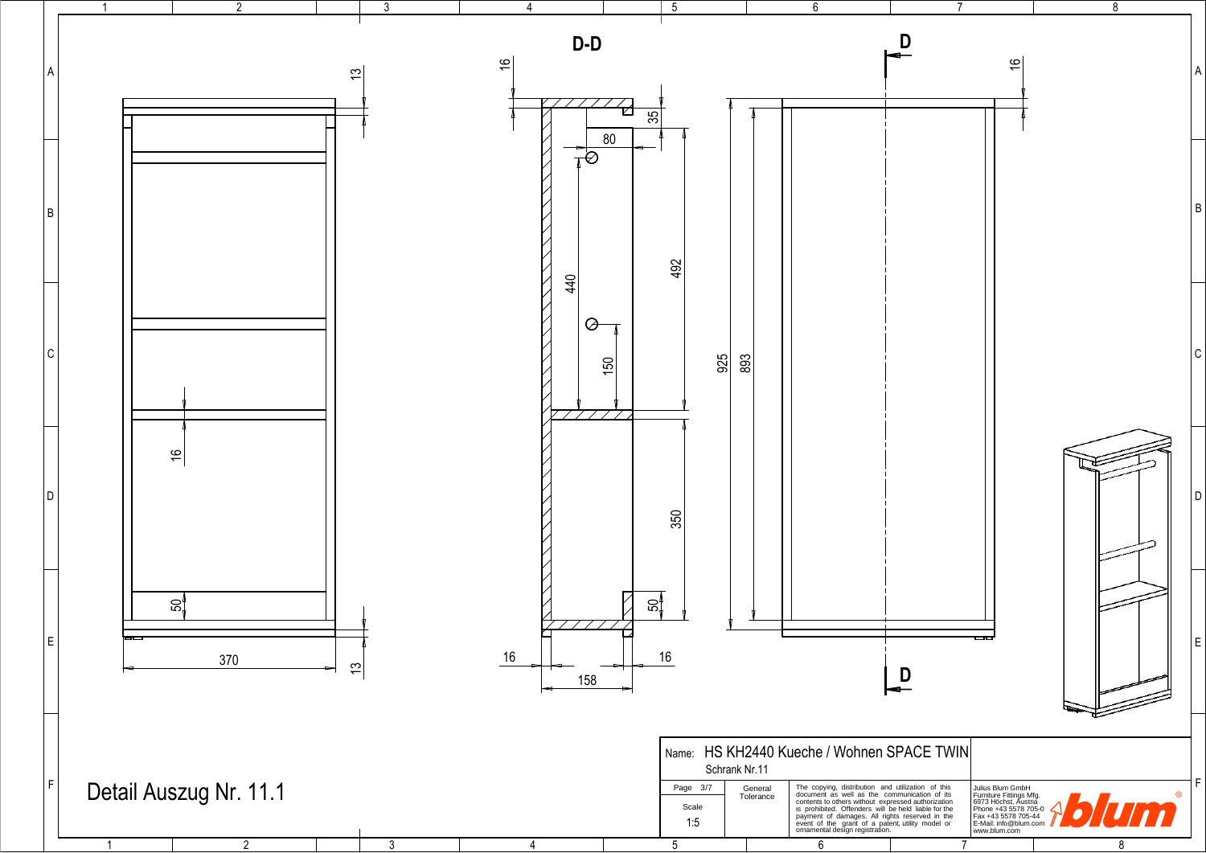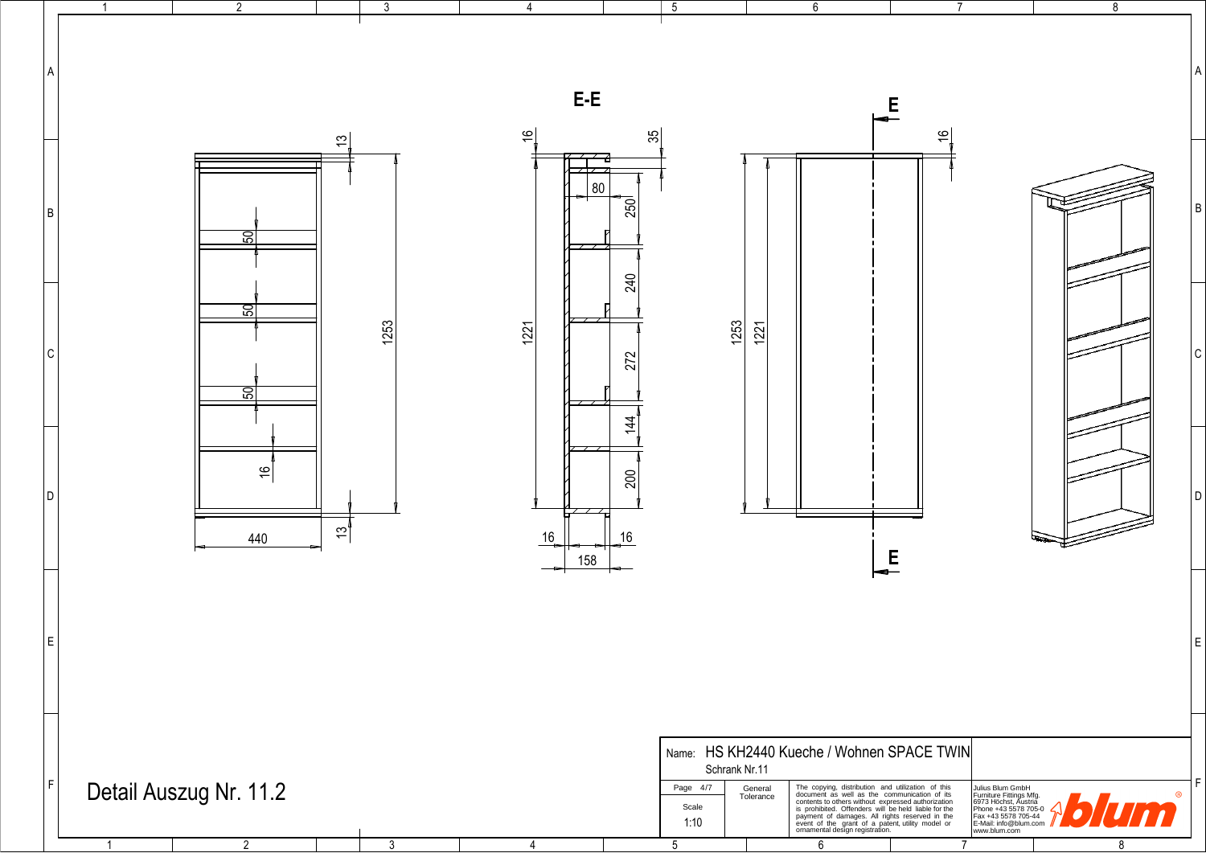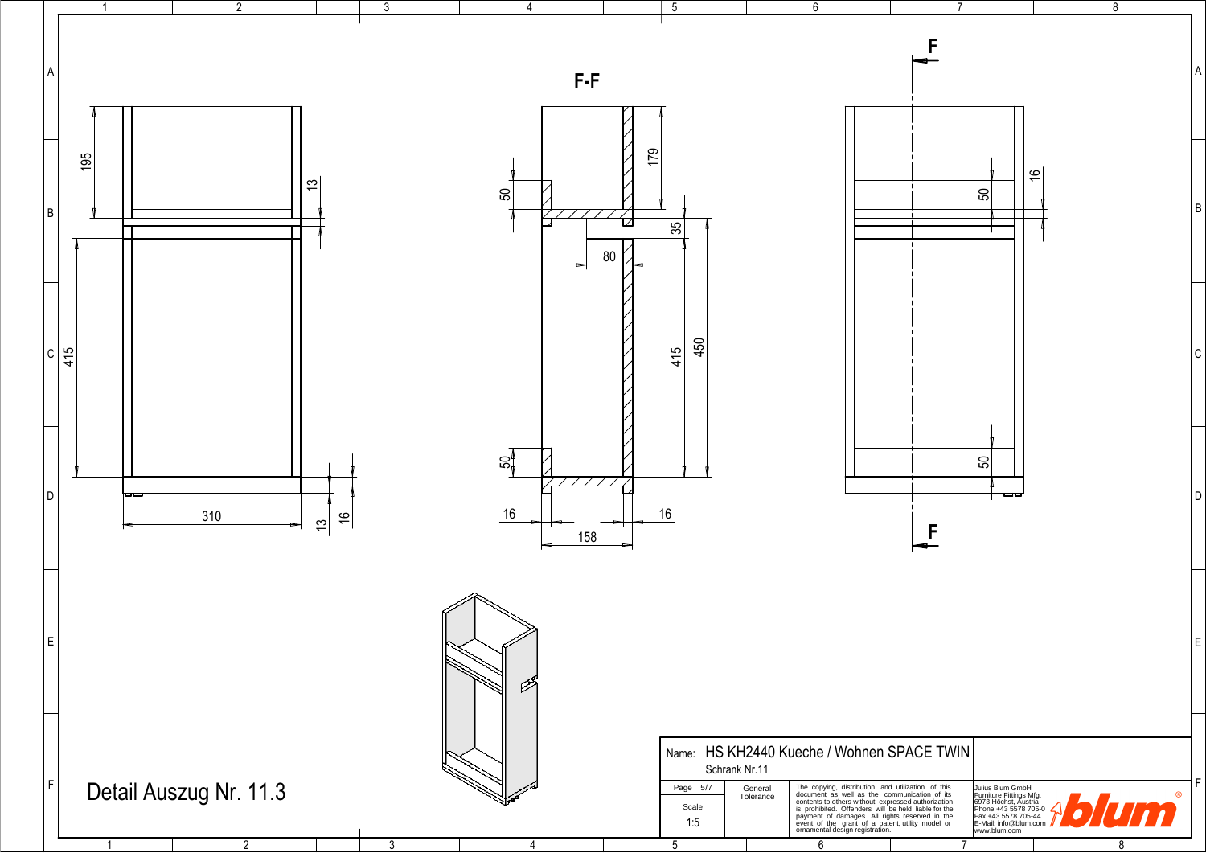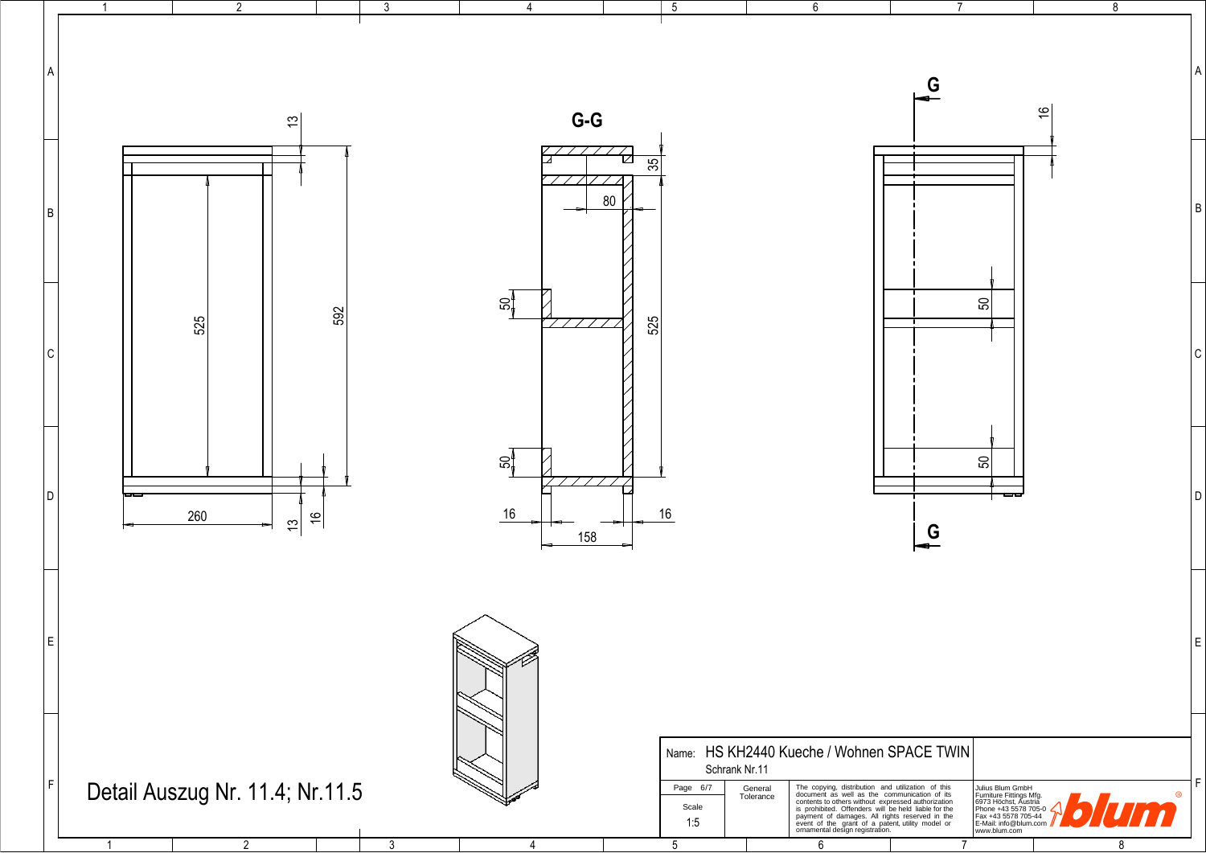